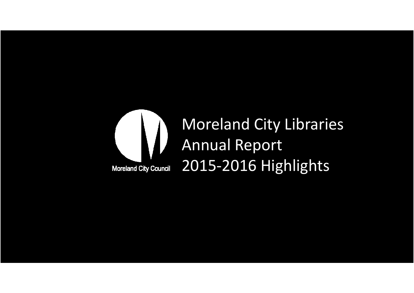

# Moreland City LibrariesAnnual Report2015-2016 Highlights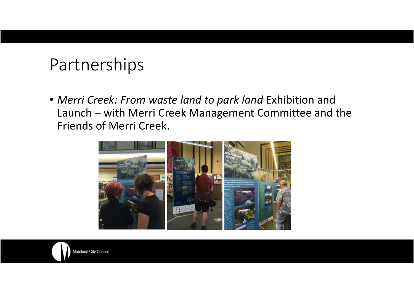#### Partnerships

• *Merri Creek: From waste land to park land* Exhibition and Launch – with Merri Creek Management Committee and the Friends of Merri Creek.

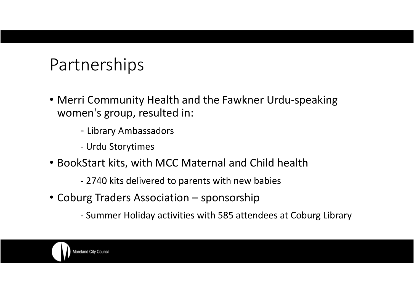#### Partnerships

- Merri Community Health and the Fawkner Urdu-speaking women's group, resulted in:
	- Library Ambassadors
	- -Urdu Storytimes
- BookStart kits, with MCC Maternal and Child health
	- 2740 kits delivered to parents with new babies
- Coburg Traders Association sponsorship
	- Summer Holiday activities with 585 attendees at Coburg Library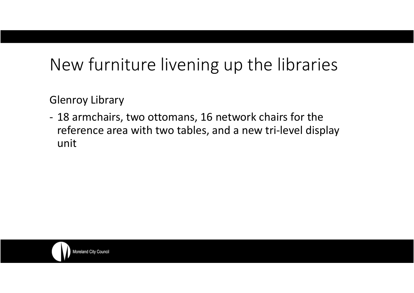## New furniture livening up the libraries

Glenroy Library

- 18 armchairs, two ottomans, 16 network chairs for the reference area with two tables, and a new tri-level display unit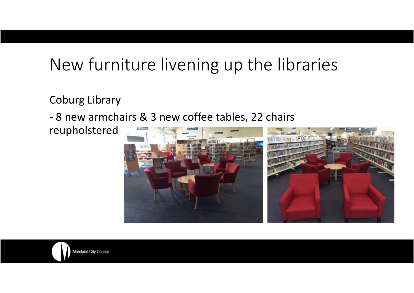## New furniture livening up the libraries

Coburg Library

-8 new armchairs & 3 new coffee tables, 22 chairs

reupholstered

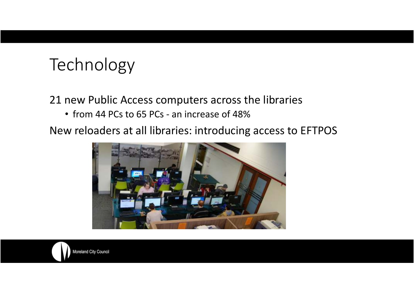# Technology

21 new Public Access computers across the libraries

• from 44 PCs to 65 PCs - an increase of 48%

New reloaders at all libraries: introducing access to EFTPOS

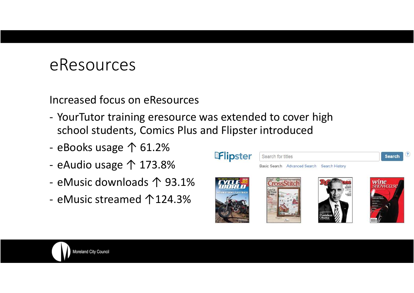#### eResources

Increased focus on eResources

- -YourTutor training eresource was extended to cover high school students, Comics Plus and Flipster introduced
- eBooks usage ↑ 61.2%
- eAudio usage ↑ 173.8%
- eMusic downloads ↑ 93.1%
- eMusic streamed ↑124.3%

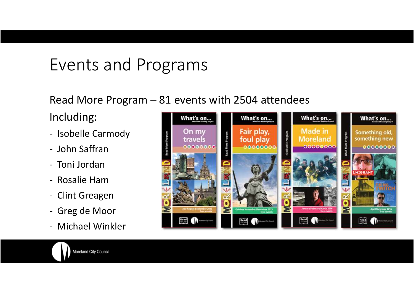### Events and Programs

#### Read More Program – 81 events with 2504 attendees

Including:

- -Isobelle Carmody
- -John Saffran
- Toni Jordan
- Rosalie Ham
- Clint Greagen
- Greg de Moor
- -Michael Winkler

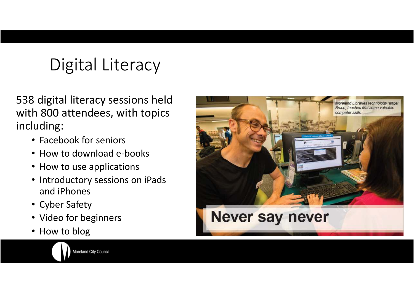# Digital Literacy

538 digital literacy sessions held with 800 attendees, with topics including:

- Facebook for seniors
- How to download e-books
- How to use applications
- Introductory sessions on iPads and iPhones
- Cyber Safety
- Video for beginners
- How to blog

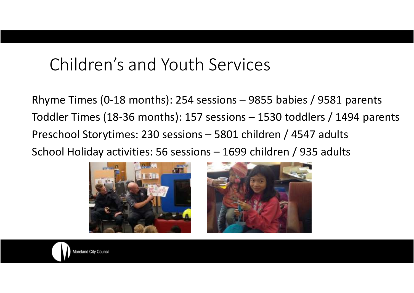#### Children's and Youth Services

Rhyme Times (0-18 months): 254 sessions – 9855 babies / 9581 parents Toddler Times (18-36 months): 157 sessions – 1530 toddlers / 1494 parents Preschool Storytimes: 230 sessions – 5801 children / 4547 adults School Holiday activities: 56 sessions – 1699 children / 935 adults



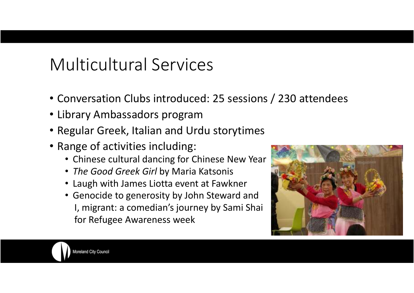# Multicultural Services

- Conversation Clubs introduced: 25 sessions / 230 attendees
- Library Ambassadors program
- Regular Greek, Italian and Urdu storytimes
- Range of activities including:
	- Chinese cultural dancing for Chinese New Year
	- *The Good Greek Girl* by Maria Katsonis
	- Laugh with James Liotta event at Fawkner
	- Genocide to generosity by John Steward and I, migrant: a comedian's journey by Sami Shaifor Refugee Awareness week